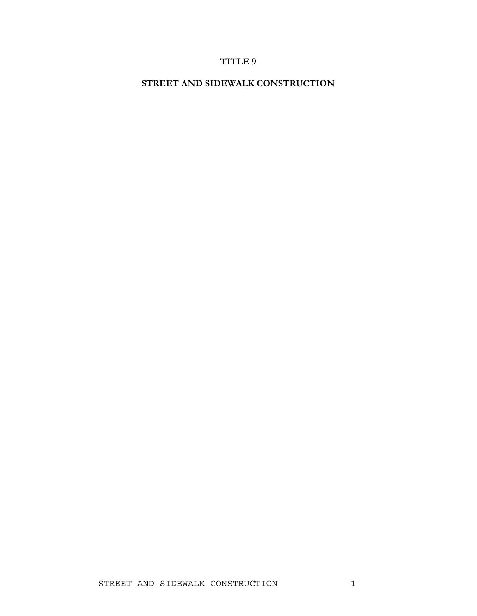# **TITLE 9**

**STREET AND SIDEWALK CONSTRUCTION**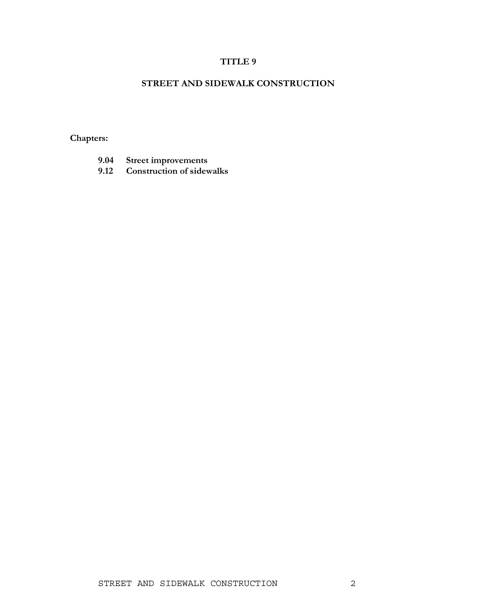## **TITLE 9**

## **STREET AND SIDEWALK CONSTRUCTION**

**Chapters:** 

- **9.04 Street improvements**
- **9.12 Construction of sidewalks**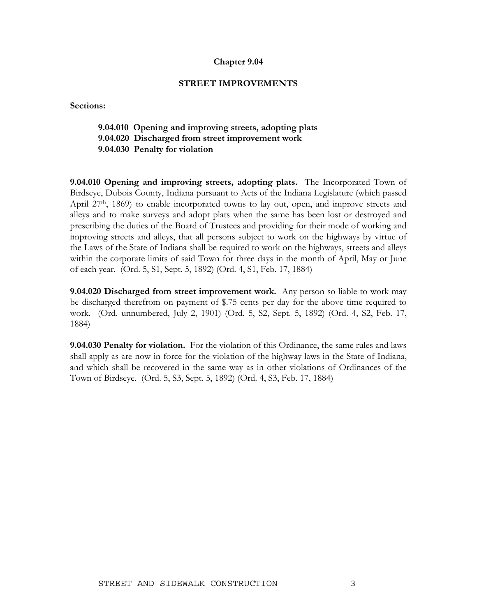#### **Chapter 9.04**

#### **STREET IMPROVEMENTS**

**Sections:** 

### **9.04.010 Opening and improving streets, adopting plats 9.04.020 Discharged from street improvement work**

 **9.04.030 Penalty for violation** 

**9.04.010 Opening and improving streets, adopting plats.** The Incorporated Town of Birdseye, Dubois County, Indiana pursuant to Acts of the Indiana Legislature (which passed April 27<sup>th</sup>, 1869) to enable incorporated towns to lay out, open, and improve streets and alleys and to make surveys and adopt plats when the same has been lost or destroyed and prescribing the duties of the Board of Trustees and providing for their mode of working and improving streets and alleys, that all persons subject to work on the highways by virtue of the Laws of the State of Indiana shall be required to work on the highways, streets and alleys within the corporate limits of said Town for three days in the month of April, May or June of each year. (Ord. 5, S1, Sept. 5, 1892) (Ord. 4, S1, Feb. 17, 1884)

**9.04.020 Discharged from street improvement work.** Any person so liable to work may be discharged therefrom on payment of \$.75 cents per day for the above time required to work. (Ord. unnumbered, July 2, 1901) (Ord. 5, S2, Sept. 5, 1892) (Ord. 4, S2, Feb. 17, 1884)

**9.04.030 Penalty for violation.** For the violation of this Ordinance, the same rules and laws shall apply as are now in force for the violation of the highway laws in the State of Indiana, and which shall be recovered in the same way as in other violations of Ordinances of the Town of Birdseye. (Ord. 5, S3, Sept. 5, 1892) (Ord. 4, S3, Feb. 17, 1884)